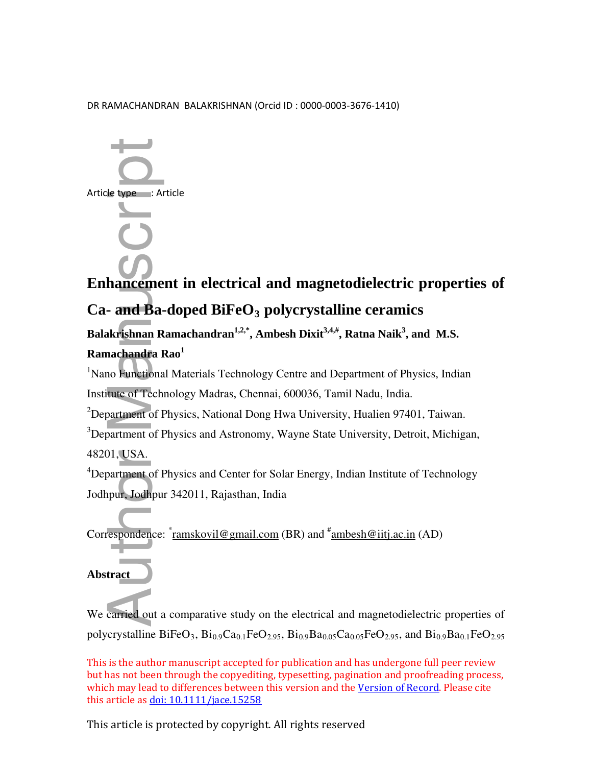#### DR RAMACHANDRAN BALAKRISHNAN (Orcid ID : 0000-0003-3676-1410)



# **Enhancement in electrical and magnetodielectric properties of Ca- and Ba-doped BiFeO<sup>3</sup> polycrystalline ceramics**

**Balakrishnan Ramachandran 1,2,\*, Ambesh Dixit3,4,#, Ratna Naik<sup>3</sup> , and M.S. Ramachandra Rao<sup>1</sup>**

<sup>1</sup>Nano Functional Materials Technology Centre and Department of Physics, Indian Institute of Technology Madras, Chennai, 600036, Tamil Nadu, India.

<sup>2</sup>Department of Physics, National Dong Hwa University, Hualien 97401, Taiwan.

 $3$ Department of Physics and Astronomy, Wayne State University, Detroit, Michigan, 48201, USA.

<sup>4</sup>Department of Physics and Center for Solar Energy, Indian Institute of Technology Jodhpur, Jodhpur 342011, Rajasthan, India

Correspondence:  $\text{\textdegree{ramskovil@gmail.com}}$  (BR) and  $\text{\textdegree{ramskovil@gmail.com}}$  (AD)

## **Abstract**

We carried out a comparative study on the electrical and magnetodielectric properties of polycrystalline BiFeO<sub>3</sub>, Bi<sub>0.9</sub>Ca<sub>0.1</sub>FeO<sub>2.95</sub>, Bi<sub>0.9</sub>Ba<sub>0.05</sub>Ca<sub>0.05</sub>FeO<sub>2.95</sub>, and Bi<sub>0.9</sub>Ba<sub>0.1</sub>FeO<sub>2.95</sub>

This is the author manuscript accepted for publication and has undergone full peer review but has not been through the copyediting, typesetting, pagination and proofreading process, which may lead to differences between this version and the Version of Record. Please cite this article as doi: 10.1111/jace.15258

This article is protected by copyright. All rights reserved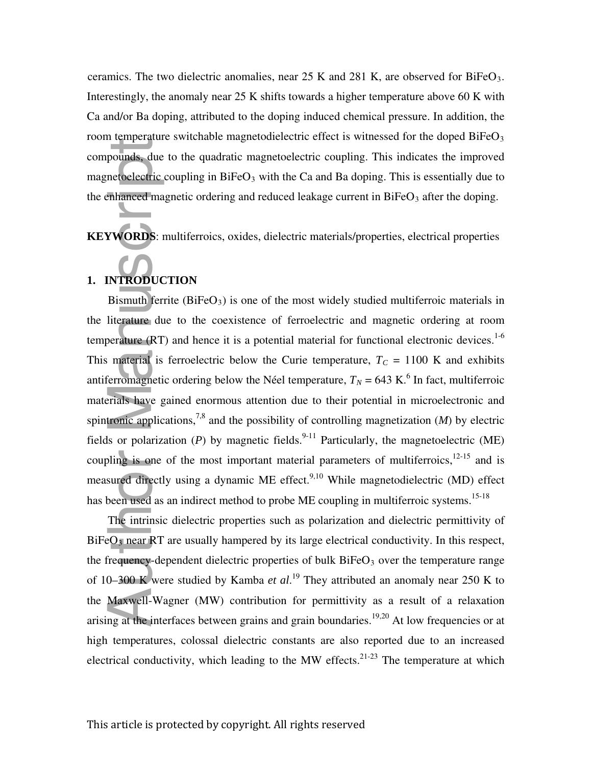ceramics. The two dielectric anomalies, near  $25 \text{ K}$  and  $281 \text{ K}$ , are observed for BiFeO<sub>3</sub>. Interestingly, the anomaly near 25 K shifts towards a higher temperature above 60 K with Ca and/or Ba doping, attributed to the doping induced chemical pressure. In addition, the room temperature switchable magnetodielectric effect is witnessed for the doped  $BiFeO<sub>3</sub>$ compounds, due to the quadratic magnetoelectric coupling. This indicates the improved magnetoelectric coupling in  $BiFeO<sub>3</sub>$  with the Ca and Ba doping. This is essentially due to the enhanced magnetic ordering and reduced leakage current in  $BiFeO<sub>3</sub>$  after the doping.

**KEYWORDS**: multiferroics, oxides, dielectric materials/properties, electrical properties

# **1. INTRODUCTION**

Bismuth ferrite  $(BiFeO<sub>3</sub>)$  is one of the most widely studied multiferroic materials in the literature due to the coexistence of ferroelectric and magnetic ordering at room temperature (RT) and hence it is a potential material for functional electronic devices.<sup>1-6</sup> This material is ferroelectric below the Curie temperature,  $T_C = 1100$  K and exhibits antiferromagnetic ordering below the Néel temperature,  $T_N = 643 \text{ K}$ .<sup>6</sup> In fact, multiferroic materials have gained enormous attention due to their potential in microelectronic and spintronic applications,<sup>7,8</sup> and the possibility of controlling magnetization  $(M)$  by electric fields or polarization (*P*) by magnetic fields.<sup>9-11</sup> Particularly, the magnetoelectric (ME) coupling is one of the most important material parameters of multiferroics, $12-15$  and is measured directly using a dynamic ME effect.<sup>9,10</sup> While magnetodielectric (MD) effect has been used as an indirect method to probe ME coupling in multiferroic systems.<sup>15-18</sup> Provides, due<br>
netoelectric<br>
enhanced ma<br>
manuscriptic manuscriptic<br>
NTRODUC<br>
Bismuth fer<br>
literature du<br>
perature (RT<br>
material is<br>
derived interaction<br>
interaction<br>
is or polariz<br>
sured directl<br>
sor polariz<br>
sor polariz<br>

The intrinsic dielectric properties such as polarization and dielectric permittivity of BiFeO<sub>3</sub> near RT are usually hampered by its large electrical conductivity. In this respect, the frequency-dependent dielectric properties of bulk  $BiFeO<sub>3</sub>$  over the temperature range of 10–300 K were studied by Kamba *et al*. <sup>19</sup> They attributed an anomaly near 250 K to the Maxwell-Wagner (MW) contribution for permittivity as a result of a relaxation arising at the interfaces between grains and grain boundaries.<sup>19,20</sup> At low frequencies or at high temperatures, colossal dielectric constants are also reported due to an increased electrical conductivity, which leading to the MW effects.<sup>21-23</sup> The temperature at which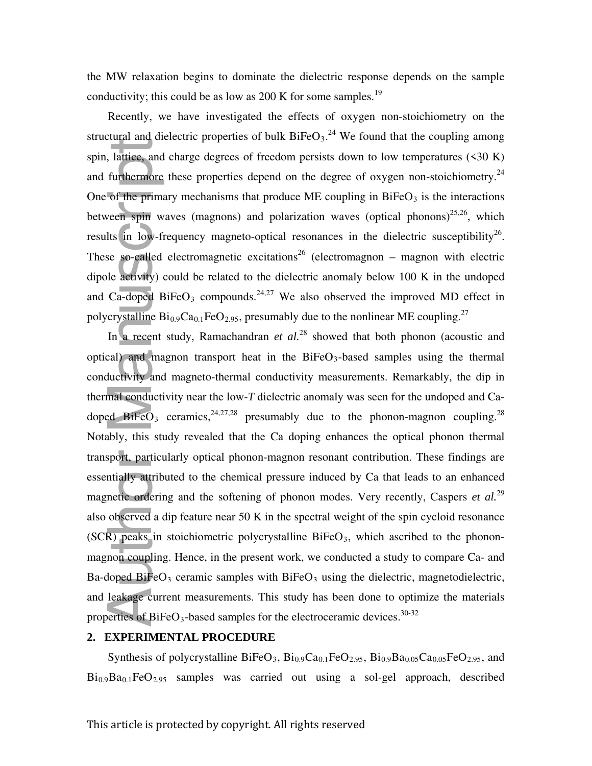the MW relaxation begins to dominate the dielectric response depends on the sample conductivity; this could be as low as 200 K for some samples.<sup>19</sup>

Recently, we have investigated the effects of oxygen non-stoichiometry on the structural and dielectric properties of bulk  $BiFeO<sub>3</sub>$ .<sup>24</sup> We found that the coupling among spin, lattice, and charge degrees of freedom persists down to low temperatures  $(\leq 30 \text{ K})$ and furthermore these properties depend on the degree of oxygen non-stoichiometry.<sup>24</sup> One of the primary mechanisms that produce ME coupling in  $BiFeO<sub>3</sub>$  is the interactions between spin waves (magnons) and polarization waves (optical phonons)<sup>25,26</sup>, which results in low-frequency magneto-optical resonances in the dielectric susceptibility<sup>26</sup>. These so-called electromagnetic excitations<sup>26</sup> (electromagnon – magnon with electric dipole activity) could be related to the dielectric anomaly below 100 K in the undoped and Ca-doped BiFeO<sub>3</sub> compounds.<sup>24,27</sup> We also observed the improved MD effect in polycrystalline  $Bi_{0.9}Ca_{0.1}FeO_{2.95}$ , presumably due to the nonlinear ME coupling.<sup>27</sup>

In a recent study, Ramachandran *et al.*<sup>28</sup> showed that both phonon (acoustic and optical) and magnon transport heat in the  $BiFeO<sub>3</sub>$ -based samples using the thermal conductivity and magneto-thermal conductivity measurements. Remarkably, the dip in thermal conductivity near the low-*T* dielectric anomaly was seen for the undoped and Cadoped BiFeO<sub>3</sub> ceramics,  $2^{4,27,28}$  presumably due to the phonon-magnon coupling.<sup>28</sup> Notably, this study revealed that the Ca doping enhances the optical phonon thermal transport, particularly optical phonon-magnon resonant contribution. These findings are essentially attributed to the chemical pressure induced by Ca that leads to an enhanced magnetic ordering and the softening of phonon modes. Very recently, Caspers *et al.*<sup>29</sup> also observed a dip feature near 50 K in the spectral weight of the spin cycloid resonance  $(SCR)$  peaks in stoichiometric polycrystalline BiFeO<sub>3</sub>, which ascribed to the phononmagnon coupling. Hence, in the present work, we conducted a study to compare Ca- and Ba-doped BiFeO<sub>3</sub> ceramic samples with BiFeO<sub>3</sub> using the dielectric, magnetodielectric, and leakage current measurements. This study has been done to optimize the materials properties of BiFeO<sub>3</sub>-based samples for the electroceramic devices.<sup>30-32</sup> spin, laliting, and charge degrees of freedom presists down to low temperatures (<30 K) and furthermore these properties depend on the degree of oxygen non-stoichiometry.<sup>24</sup><br>One of the primary mechanisms that produce ME

#### **2. EXPERIMENTAL PROCEDURE**

Synthesis of polycrystalline BiFeO<sub>3</sub>,  $Bi_{0.9}Ca_{0.1}FeO_{2.95}$ ,  $Bi_{0.9}Ba_{0.05}Ca_{0.05}FeO_{2.95}$ , and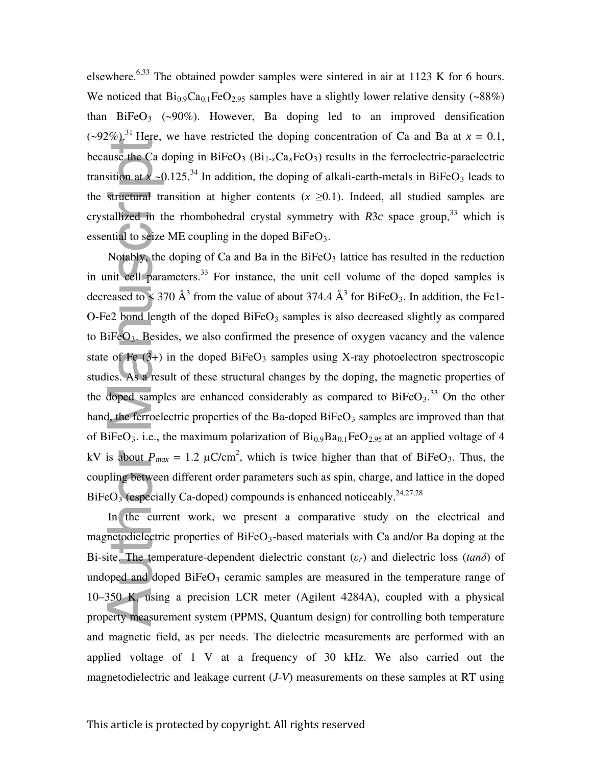elsewhere.<sup>6,33</sup> The obtained powder samples were sintered in air at 1123 K for 6 hours. We noticed that  $Bi_{0.9}Ca_{0.1}FeO_{2.95}$  samples have a slightly lower relative density (~88%) than  $BiFeO<sub>3</sub>$  (~90%). However, Ba doping led to an improved densification  $(-92\%)$ <sup>31</sup> Here, we have restricted the doping concentration of Ca and Ba at  $x = 0.1$ , because the Ca doping in BiFeO<sub>3</sub> (Bi<sub>1-x</sub>Ca<sub>x</sub>FeO<sub>3</sub>) results in the ferroelectric-paraelectric transition at  $x \sim 0.125$ .<sup>34</sup> In addition, the doping of alkali-earth-metals in BiFeO<sub>3</sub> leads to the structural transition at higher contents  $(x \ge 0.1)$ . Indeed, all studied samples are crystallized in the rhombohedral crystal symmetry with  $R3c$  space group,<sup>33</sup> which is essential to seize ME coupling in the doped  $BiFeO<sub>3</sub>$ .

Notably, the doping of Ca and Ba in the BiFeO <sup>3</sup> lattice has resulted in the reduction in unit cell parameters.<sup>33</sup> For instance, the unit cell volume of the doped samples is decreased to  $\leq 370 \text{ Å}^3$  from the value of about 374.4  $\text{Å}^3$  for BiFeO<sub>3</sub>. In addition, the Fe1-O-Fe2 bond length of the doped  $BiFeO<sub>3</sub>$  samples is also decreased slightly as compared to BiFeO3. Besides, we also confirmed the presence of oxygen vacancy and the valence state of Fe  $(3+)$  in the doped BiFeO<sub>3</sub> samples using X-ray photoelectron spectroscopic studies. As a result of these structural changes by the doping, the magnetic properties of the doped samples are enhanced considerably as compared to  $BiFeO<sub>3</sub>$ .<sup>33</sup> On the other hand, the ferroelectric properties of the Ba-doped BiFe $O_3$  samples are improved than that of BiFeO<sub>3</sub>. i.e., the maximum polarization of  $Bi_{0.9}Ba_{0.1}FeO_{2.95}$  at an applied voltage of 4 kV is about  $P_{max} = 1.2 \mu C/cm^2$ , which is twice higher than that of BiFeO<sub>3</sub>. Thus, the coupling between different order parameters such as spin, charge, and lattice in the doped  $BiFeO<sub>3</sub>$  (especially Ca-doped) compounds is enhanced noticeably.<sup>24,27,28</sup> Examples and dielectric properties of the Ba-doped BiFeO<sub>3</sub>, based in the foreselectric paradeteric transition at  $\alpha = 0.125$ .<sup>34</sup> In addition, the doping of alkali-earth-metals in BiFeO<sub>3</sub> leads to the streetterical tran

In the current work, we present a comparative study on the electrical and magnetodielectric properties of BiFeO<sub>3</sub>-based materials with Ca and/or Ba doping at the Bi-site. The temperature-dependent dielectric constant (*εr*) and dielectric loss (*tanδ*) of undoped and doped  $BiFeO<sub>3</sub>$  ceramic samples are measured in the temperature range of 10–350 K, using a precision LCR meter (Agilent 4284A), coupled with a physical property measurement system (PPMS, Quantum design) for controlling both temperature and magnetic field, as per needs. The dielectric measurements are performed with an applied voltage of 1 V at a frequency of 30 kHz. We also carried out the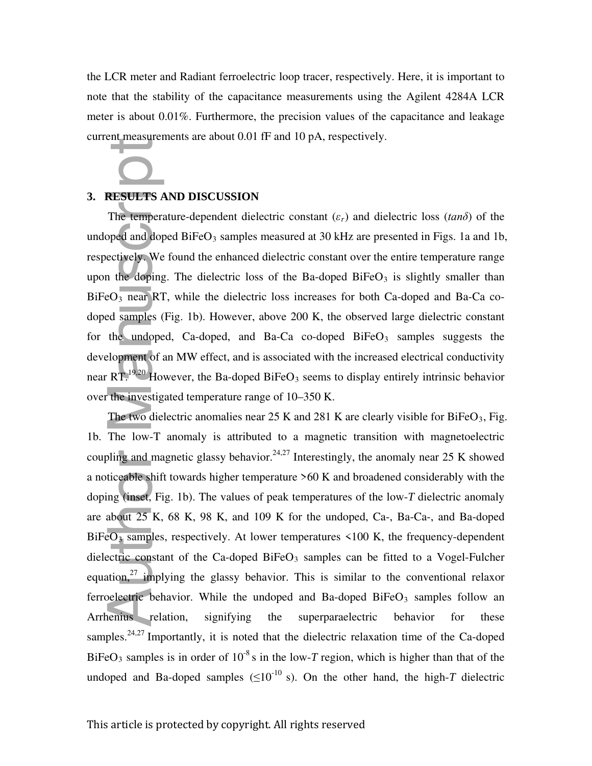the LCR meter and Radiant ferroelectric loop tracer, respectively. Here, it is important to note that the stability of the capacitance measurements using the Agilent 4284A LCR meter is about 0.01%. Furthermore, the precision values of the capacitance and leakage current measurements are about 0.01 fF and 10 pA, respectively.

#### **3. RESULTS AND DISCUSSION**

The temperature-dependent dielectric constant (*εr*) and dielectric loss (*tanδ*) of the undoped and doped  $BiFeO<sub>3</sub>$  samples measured at 30 kHz are presented in Figs. 1a and 1b, respectively. We found the enhanced dielectric constant over the entire temperature range upon the doping. The dielectric loss of the Ba-doped BiFe $O<sub>3</sub>$  is slightly smaller than  $BiFeO<sub>3</sub>$  near RT, while the dielectric loss increases for both Ca-doped and Ba-Ca codoped samples (Fig. 1b). However, above 200 K, the observed large dielectric constant for the undoped, Ca-doped, and Ba-Ca co-doped  $BiFeO<sub>3</sub>$  samples suggests the development of an MW effect, and is associated with the increased electrical conductivity near RT.<sup>19,20</sup> However, the Ba-doped BiFeO<sub>3</sub> seems to display entirely intrinsic behavior over the investigated temperature range of 10–350 K.

The two dielectric anomalies near 25 K and 281 K are clearly visible for  $BiFeO<sub>3</sub>$ , Fig. 1b. The low-T anomaly is attributed to a magnetic transition with magnetoelectric coupling and magnetic glassy behavior.<sup>24,27</sup> Interestingly, the anomaly near 25 K showed a noticeable shift towards higher temperature >60 K and broadened considerably with the doping (inset, Fig. 1b). The values of peak temperatures of the low-*T* dielectric anomaly are about 25 K, 68 K, 98 K, and 109 K for the undoped, Ca-, Ba-Ca-, and Ba-doped  $BiFeO<sub>3</sub>$  samples, respectively. At lower temperatures  $\leq 100$  K, the frequency-dependent dielectric constant of the Ca-doped BiFe $O_3$  samples can be fitted to a Vogel-Fulcher equation, $27$  implying the glassy behavior. This is similar to the conventional relaxor ferroelectric behavior. While the undoped and Ba-doped BiFeO<sub>3</sub> samples follow an Arrhenius relation, signifying the superparaelectric behavior for these samples.<sup>24,27</sup> Importantly, it is noted that the dielectric relaxation time of the Ca-doped BiFeO<sub>3</sub> samples is in order of  $10^{-8}$  s in the low-*T* region, which is higher than that of the **3. RESULTS AND DISCUSSION**<br> **ITE emperature-dependent dielectric constant** (*c*) and dielectric loss (*tamb*) of the undoped and BaFedO<sub>2</sub> samples measured at 30 kHz are presented in Figs. 1a and 1h, respectively. We fou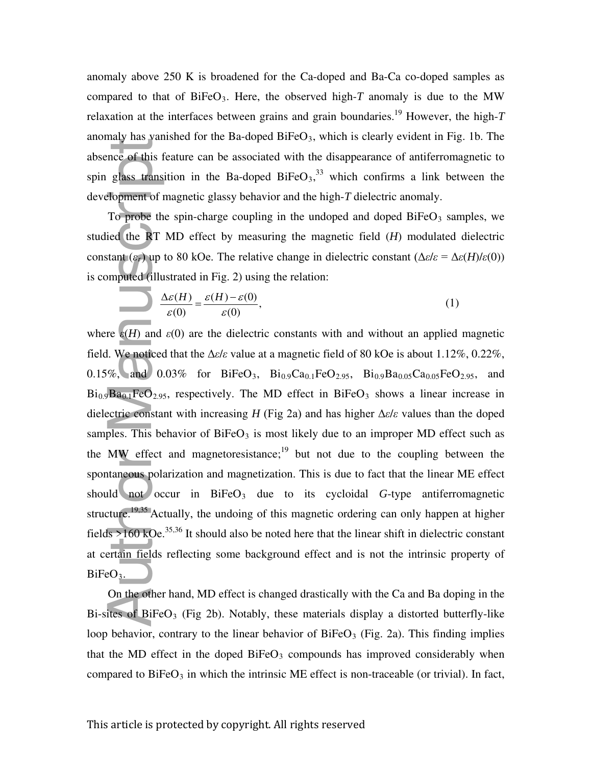anomaly above 250 K is broadened for the Ca-doped and Ba-Ca co-doped samples as compared to that of BiFeO<sub>3</sub>. Here, the observed high- $T$  anomaly is due to the MW relaxation at the interfaces between grains and grain boundaries.<sup>19</sup> However, the high- $T$ anomaly has vanished for the Ba-doped BiFe $O_3$ , which is clearly evident in Fig. 1b. The absence of this feature can be associated with the disappearance of antiferromagnetic to spin glass transition in the Ba-doped BiFe $O_3$ ,<sup>33</sup> which confirms a link between the development of magnetic glassy behavior and the high-*T* dielectric anomaly.

To probe the spin-charge coupling in the undoped and doped BiFeO<sub>3</sub> samples, we studied the RT MD effect by measuring the magnetic field (*H*) modulated dielectric constant  $(\varepsilon_r)$  up to 80 kOe. The relative change in dielectric constant  $(\Delta \varepsilon / \varepsilon = \Delta \varepsilon(H)/\varepsilon(0))$ is computed (illustrated in Fig. 2) using the relation:

$$
\frac{\Delta \varepsilon(H)}{\varepsilon(0)} = \frac{\varepsilon(H) - \varepsilon(0)}{\varepsilon(0)},
$$
\n(1)

where  $\varepsilon$ (*H*) and  $\varepsilon$ (0) are the dielectric constants with and without an applied magnetic field. We noticed that the Δ*ε*/*ε* value at a magnetic field of 80 kOe is about 1.12%, 0.22%, 0.15%, and 0.03% for BiFeO<sub>3</sub>, Bi<sub>0.9</sub>Ca<sub>0.1</sub>FeO<sub>2.95</sub>, Bi<sub>0.9</sub>Ba<sub>0.05</sub>Ca<sub>0.05</sub>FeO<sub>2.95</sub>, and  $Bi_{0.9}Ba_{0.1}FeO_{2.95}$ , respectively. The MD effect in BiFeO<sub>3</sub> shows a linear increase in dielectric constant with increasing *H* (Fig 2a) and has higher Δ*ε*/*ε* values than the doped samples. This behavior of BiFeO<sub>3</sub> is most likely due to an improper MD effect such as the MW effect and magnetoresistance; $19$  but not due to the coupling between the spontaneous polarization and magnetization. This is due to fact that the linear ME effect should not occur in  $BiFeO<sub>3</sub>$  due to its cycloidal *G*-type antiferromagnetic structure.<sup>19,35</sup> Actually, the undoing of this magnetic ordering can only happen at higher fields  $>160$  kOe.<sup>35,36</sup> It should also be noted here that the linear shift in dielectric constant at certain fields reflecting some background effect and is not the intrinsic property of BiFeO<sub>3</sub>. absence of this feature can be associated with the disappearance of antiferromagnetic to<br>spin glass transition in the Ba-doped BiFeO<sub>3</sub>,<sup>33</sup> which confirms a fink between the<br>development of magnetic glassy behavior and th

On the other hand, MD effect is changed drastically with the Ca and Ba doping in the Bi-sites of BiFeO<sub>3</sub> (Fig 2b). Notably, these materials display a distorted butterfly-like loop behavior, contrary to the linear behavior of  $B$ iFeO<sub>3</sub> (Fig. 2a). This finding implies that the MD effect in the doped  $BiFeO<sub>3</sub>$  compounds has improved considerably when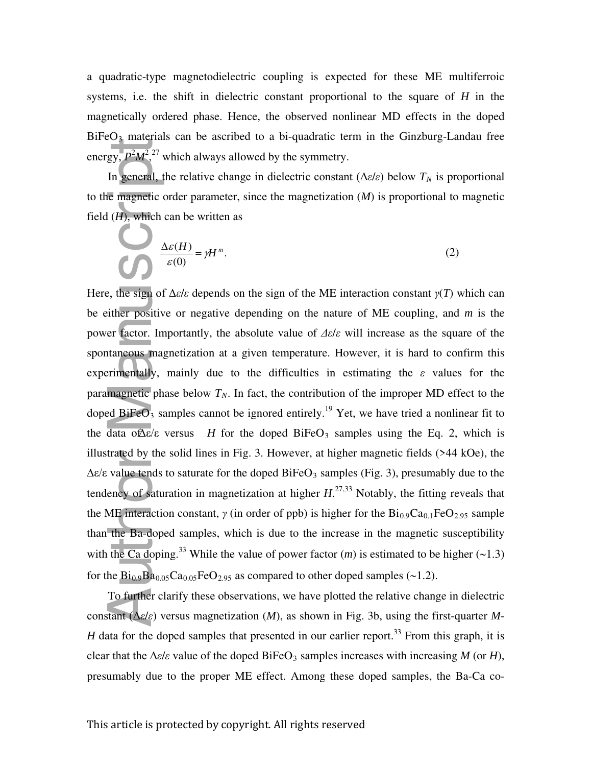a quadratic-type magnetodielectric coupling is expected for these ME multiferroic systems, i.e. the shift in dielectric constant proportional to the square of *H* in the magnetically ordered phase. Hence, the observed nonlinear MD effects in the doped  $BiFeO<sub>3</sub>$  materials can be ascribed to a bi-quadratic term in the Ginzburg-Landau free energy,  $P^2M^2$ ,<sup>27</sup> which always allowed by the symmetry.

In general, the relative change in dielectric constant ( $\Delta \varepsilon/\varepsilon$ ) below  $T_N$  is proportional to the magnetic order parameter, since the magnetization (*M*) is proportional to magnetic field  $(H)$ , which can be written as

$$
\frac{\Delta \varepsilon(H)}{\varepsilon(0)} = \gamma H^{m}.
$$
 (2)

Here, the sign of  $\Delta \varepsilon / \varepsilon$  depends on the sign of the ME interaction constant  $\gamma(T)$  which can be either positive or negative depending on the nature of ME coupling, and *m* is the power factor. Importantly, the absolute value of *Δε*/*ε* will increase as the square of the spontaneous magnetization at a given temperature. However, it is hard to confirm this experimentally, mainly due to the difficulties in estimating the *ε* values for the paramagnetic phase below  $T_N$ . In fact, the contribution of the improper MD effect to the doped BiFeO<sub>3</sub> samples cannot be ignored entirely.<sup>19</sup> Yet, we have tried a nonlinear fit to the data of  $\Delta \varepsilon / \varepsilon$  versus *H* for the doped BiFeO<sub>3</sub> samples using the Eq. 2, which is illustrated by the solid lines in Fig. 3. However, at higher magnetic fields (>44 kOe), the  $\Delta \varepsilon$ /ε value tends to saturate for the doped BiFeO<sub>3</sub> samples (Fig. 3), presumably due to the tendency of saturation in magnetization at higher *H*. 27,33 Notably, the fitting reveals that the ME interaction constant,  $\gamma$  (in order of ppb) is higher for the  $Bi_{0.9}Ca_{0.1}FeO_{2.95}$  sample than the Ba-doped samples, which is due to the increase in the magnetic susceptibility with the Ca doping.<sup>33</sup> While the value of power factor  $(m)$  is estimated to be higher  $(\sim 1.3)$ for the  $Bi_{0.9}Ba_{0.05}Ca_{0.05}FeO_{2.95}$  as compared to other doped samples (~1.2). energy,  $\frac{P M^2}{P^2}$  which always allowed by the symmetry.<br>
In general, the relative change in dielectric constant ( $\Delta dx$ ) below  $T_N$  is proportional<br>
to the imagnetic order parameter, since the magnetization ( $M$ ) is p

To further clarify these observations, we have plotted the relative change in dielectric constant (Δ*ε*/*ε*) versus magnetization (*M*), as shown in Fig. 3b, using the first-quarter *M*-*H* data for the doped samples that presented in our earlier report.<sup>33</sup> From this graph, it is clear that the  $\Delta \varepsilon / \varepsilon$  value of the doped BiFeO<sub>3</sub> samples increases with increasing *M* (or *H*),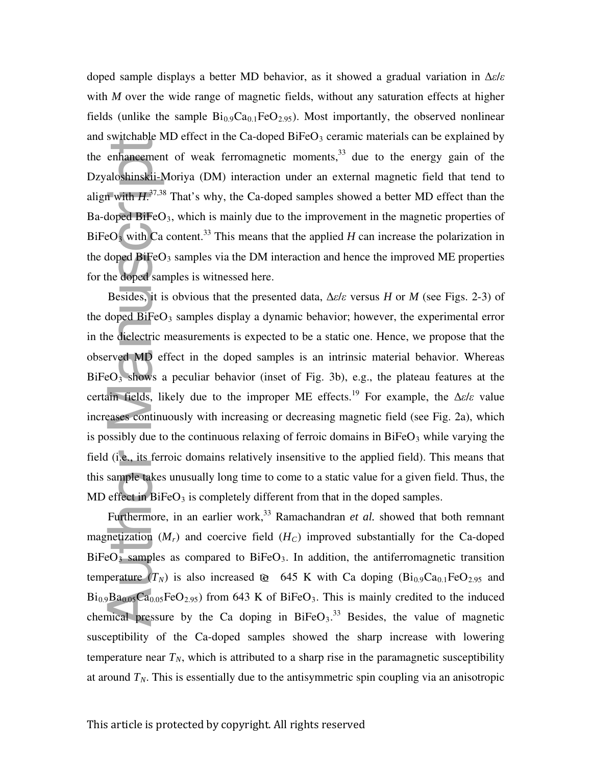doped sample displays a better MD behavior, as it showed a gradual variation in Δ*ε*/*ε* with *M* over the wide range of magnetic fields, without any saturation effects at higher fields (unlike the sample  $Bi_{0.9}Ca_{0.1}FeO_{2.95}$ ). Most importantly, the observed nonlinear and switchable MD effect in the Ca-doped BiFe $O_3$  ceramic materials can be explained by the enhancement of weak ferromagnetic moments,  $33$  due to the energy gain of the Dzyaloshinskii-Moriya (DM) interaction under an external magnetic field that tend to align with  $H^{37,38}$  That's why, the Ca-doped samples showed a better MD effect than the Ba-doped BiFe $O_3$ , which is mainly due to the improvement in the magnetic properties of  $B$ iFeO<sub>3</sub> with Ca content.<sup>33</sup> This means that the applied *H* can increase the polarization in the doped  $B$ iFeO<sub>3</sub> samples via the DM interaction and hence the improved ME properties for the doped samples is witnessed here.

Besides, it is obvious that the presented data, Δ*ε*/*ε* versus *H* or *M* (see Figs. 2-3) of the doped BiFeO <sup>3</sup> samples display a dynamic behavior; however, the experimental error in the dielectric measurements is expected to be a static one. Hence, we propose that the observed MD effect in the doped samples is an intrinsic material behavior. Whereas  $BiFeO<sub>3</sub>$  shows a peculiar behavior (inset of Fig. 3b), e.g., the plateau features at the certain fields, likely due to the improper ME effects.<sup>19</sup> For example, the  $\Delta \varepsilon / \varepsilon$  value increases continuously with increasing or decreasing magnetic field (see Fig. 2a), which is possibly due to the continuous relaxing of ferroic domains in  $BiFeO<sub>3</sub>$  while varying the field (i.e., its ferroic domains relatively insensitive to the applied field). This means that this sample takes unusually long time to come to a static value for a given field. Thus, the MD effect in  $BiFeO<sub>3</sub>$  is completely different from that in the doped samples. the enfrancement of weak ferromagnetic moments,<sup>33</sup> due to the energy gain of the Dzyaloshinskii Moriya (DM) interaction under an external magnetic field that tend to be<br>interval manuscription, which is mainly due to the

Furthermore, in an earlier work,<sup>33</sup> Ramachandran *et al.* showed that both remnant magnetization  $(M_r)$  and coercive field  $(H_c)$  improved substantially for the Ca-doped  $BiFeO<sub>3</sub>$  samples as compared to  $BiFeO<sub>3</sub>$ . In addition, the antiferromagnetic transition temperature  $(T_N)$  is also increased to 645 K with Ca doping  $(Bi_{0.9}Ca_{0.1}FeO_{2.95}$  and  $Bi_{0.9}Ba_{0.05}Ca_{0.05}FeO_{2.95}$ ) from 643 K of BiFeO<sub>3</sub>. This is mainly credited to the induced chemical pressure by the Ca doping in  $BiFeO<sub>3</sub>$ <sup>33</sup> Besides, the value of magnetic susceptibility of the Ca-doped samples showed the sharp increase with lowering temperature near  $T_N$ , which is attributed to a sharp rise in the paramagnetic susceptibility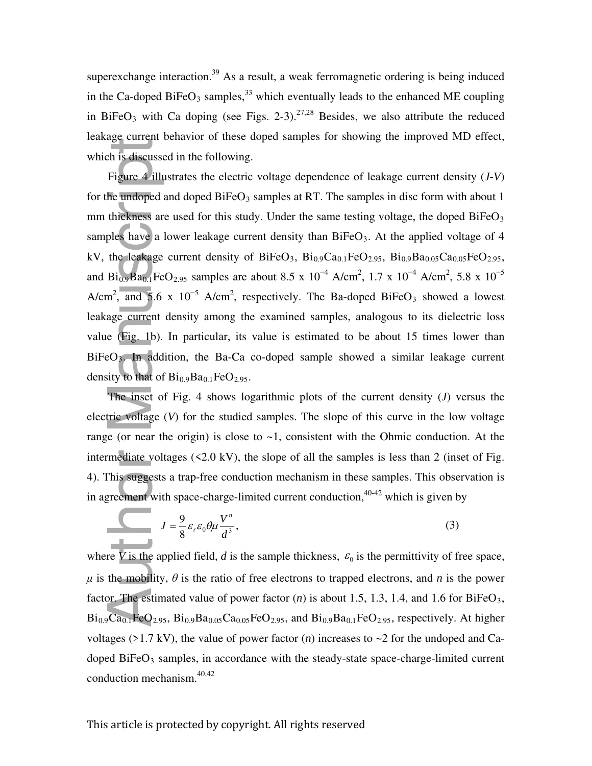superexchange interaction.<sup>39</sup> As a result, a weak ferromagnetic ordering is being induced in the Ca-doped BiFeO<sub>3</sub> samples,  $33$  which eventually leads to the enhanced ME coupling in BiFeO<sub>3</sub> with Ca doping (see Figs. 2-3).<sup>27,28</sup> Besides, we also attribute the reduced leakage current behavior of these doped samples for showing the improved MD effect, which is discussed in the following.

Figure 4 illustrates the electric voltage dependence of leakage current density (*J-V*) for the undoped and doped BiFeO<sub>3</sub> samples at RT. The samples in disc form with about 1 mm thickness are used for this study. Under the same testing voltage, the doped  $BiFeO<sub>3</sub>$ samples have a lower leakage current density than  $BiFeO<sub>3</sub>$ . At the applied voltage of 4 kV, the leakage current density of BiFeO<sub>3</sub>, Bi<sub>0.9</sub>Ca<sub>0.1</sub>FeO<sub>2.95</sub>, Bi<sub>0.9</sub>Ba<sub>0.05</sub>Ca<sub>0.05</sub>FeO<sub>2.95</sub>, and Bi<sub>0.9</sub>Ba<sub>0.1</sub>FeO<sub>2.95</sub> samples are about 8.5 x 10<sup>-4</sup> A/cm<sup>2</sup>, 1.7 x 10<sup>-4</sup> A/cm<sup>2</sup>, 5.8 x 10<sup>-5</sup> A/cm<sup>2</sup>, and 5.6 x 10<sup>-5</sup> A/cm<sup>2</sup>, respectively. The Ba-doped BiFeO<sub>3</sub> showed a lowest leakage current density among the examined samples, analogous to its dielectric loss value (Fig. 1b). In particular, its value is estimated to be about 15 times lower than  $BiFeO<sub>3</sub>$ . In addition, the Ba-Ca co-doped sample showed a similar leakage current density to that of  $Bi_{0.9}Ba_{0.1}FeO_{2.95}$ . conduction in the density<br>which is discussed in the fo<br>Figure 4 illustrates the<br>for the undoped and doped<br>mm thickness are used for<br>samples have a lower leak:<br>kV, the leakage current de<br>and Bi<sub>0.9</sub>Ba<sub>0.1</sub>FeO<sub>2.95</sub> samp<br>A/

The inset of Fig. 4 shows logarithmic plots of the current density (*J*) versus the electric voltage (*V*) for the studied samples. The slope of this curve in the low voltage range (or near the origin) is close to  $\sim$ 1, consistent with the Ohmic conduction. At the intermediate voltages  $(\le 2.0 \text{ kV})$ , the slope of all the samples is less than 2 (inset of Fig. 4). This suggests a trap-free conduction mechanism in these samples. This observation is in agreement with space-charge-limited current conduction,<sup>40-42</sup> which is given by

$$
J = \frac{9}{8} \varepsilon_r \varepsilon_0 \theta \mu \frac{V^n}{d^3},\tag{3}
$$

where *V* is the applied field, *d* is the sample thickness,  $\varepsilon_0$  is the permittivity of free space,  $\mu$  is the mobility,  $\theta$  is the ratio of free electrons to trapped electrons, and *n* is the power factor. The estimated value of power factor  $(n)$  is about 1.5, 1.3, 1.4, and 1.6 for BiFeO<sub>3</sub>,  $Bi_{0.9}Ca_{0.1}FeO_{2.95}$ ,  $Bi_{0.9}Ba_{0.05}Ca_{0.05}FeO_{2.95}$ , and  $Bi_{0.9}Ba_{0.1}FeO_{2.95}$ , respectively. At higher voltages ( $>1.7 \text{ kV}$ ), the value of power factor (*n*) increases to  $\sim$ 2 for the undoped and Cadoped BiFe $O_3$  samples, in accordance with the steady-state space-charge-limited current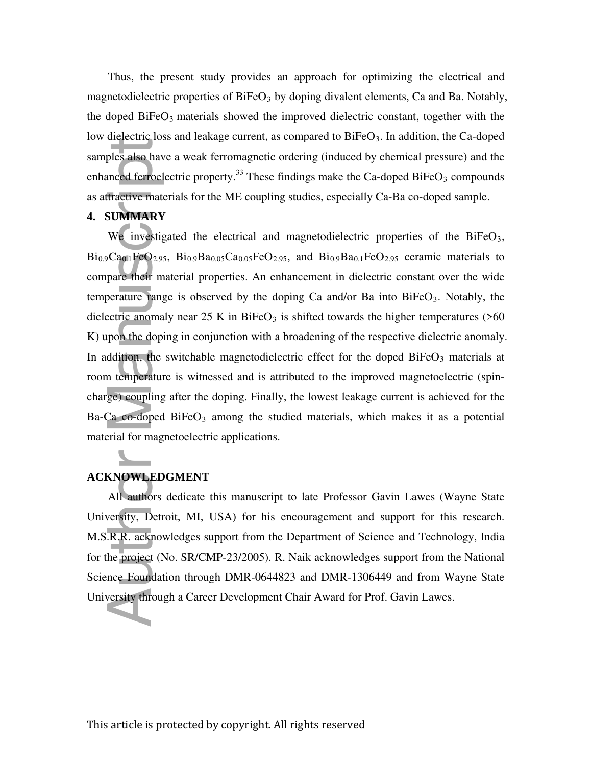Thus, the present study provides an approach for optimizing the electrical and magnetodielectric properties of  $BiFeO<sub>3</sub>$  by doping divalent elements, Ca and Ba. Notably, the doped  $BiFeO<sub>3</sub>$  materials showed the improved dielectric constant, together with the low dielectric loss and leakage current, as compared to  $BiFeO<sub>3</sub>$ . In addition, the Ca-doped samples also have a weak ferromagnetic ordering (induced by chemical pressure) and the enhanced ferroelectric property.<sup>33</sup> These findings make the Ca-doped BiFeO<sub>3</sub> compounds as attractive materials for the ME coupling studies, especially Ca-Ba co-doped sample.

#### **4. SUMMARY**

We investigated the electrical and magnetodielectric properties of the  $BiFeO<sub>3</sub>$ ,  $Bi_{0.9}Ca_{0.1}FeO_{2.95}$ ,  $Bi_{0.9}Ba_{0.05}Ca_{0.05}FeO_{2.95}$ , and  $Bi_{0.9}Ba_{0.1}FeO_{2.95}$  ceramic materials to compare their material properties. An enhancement in dielectric constant over the wide temperature range is observed by the doping Ca and/or Ba into  $BiFeO<sub>3</sub>$ . Notably, the dielectric anomaly near 25 K in BiFeO<sub>3</sub> is shifted towards the higher temperatures ( $>60$ ) K) upon the doping in conjunction with a broadening of the respective dielectric anomaly. In addition, the switchable magnetodielectric effect for the doped  $B$ iFeO<sub>3</sub> materials at room temperature is witnessed and is attributed to the improved magnetoelectric (spincharge) coupling after the doping. Finally, the lowest leakage current is achieved for the Ba-Ca co-doped  $BiFeO<sub>3</sub>$  among the studied materials, which makes it as a potential material for magnetoelectric applications. samples also have a weak ferromagnetic ordering (induced by obemical pressurenhanced ferroclectric property.<sup>33</sup> These findings make the Ca-doped BiFeO<sub>3</sub> cas attractive materials for the ME coupling studies, especially C

## **ACKNOWLEDGMENT**

All authors dedicate this manuscript to late Professor Gavin Lawes (Wayne State University, Detroit, MI, USA) for his encouragement and support for this research. M.S.R.R. acknowledges support from the Department of Science and Technology, India for the project (No. SR/CMP-23/2005). R. Naik acknowledges support from the National Science Foundation through DMR-0644823 and DMR-1306449 and from Wayne State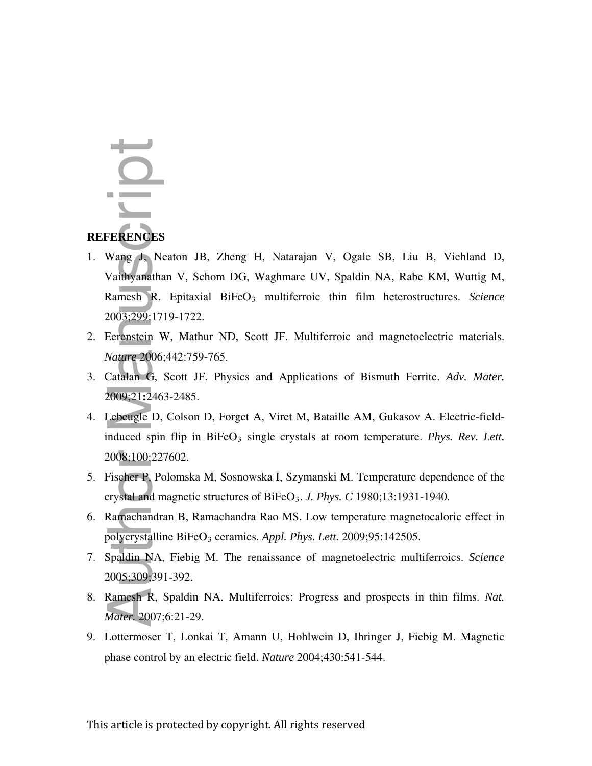# **REFERENCES**

- 1. Wang J, Neaton JB, Zheng H, Natarajan V, Ogale SB, Liu B, Viehland D, Vaithyanathan V, Schom DG, Waghmare UV, Spaldin NA, Rabe KM, Wuttig M, Ramesh R. Epitaxial BiFeO<sub>3</sub> multiferroic thin film heterostructures. Science 2003;299:1719-1722. **FERENCES**<br>
Wang J. Neaton JB, Zheng H, Natarajan V, Ogale SI<br>
Vaithyanathan V, Schom DG, Waghmare UV, Spaldin NA<br>
Ramesh R. Epitaxial BiFeO<sub>3</sub> multiferroic thin film h<br>
2003;299:1719-1722.<br>
Eerenstein W, Mathur ND, Scott
- 2. Eerenstein W, Mathur ND, Scott JF. Multiferroic and magnetoelectric materials. *Nature* 2006;442:759-765.
- 3. Catalan G, Scott JF. Physics and Applications of Bismuth Ferrite. *Adv. Mater.* 2009;21**:**2463-2485.
- 4. Lebeugle D, Colson D, Forget A, Viret M, Bataille AM, Gukasov A. Electric-fieldinduced spin flip in BiFeO<sub>3</sub> single crystals at room temperature. *Phys. Rev. Lett.* 2008;100:227602.
- 5. Fischer P, Polomska M, Sosnowska I, Szymanski M. Temperature dependence of the crystal and magnetic structures of BiFeO 3 . *J. Phys. C* 1980;13:1931-1940.
- 6. Ramachandran B, Ramachandra Rao MS. Low temperature magnetocaloric effect in polycrystalline BiFeO 3 ceramics. *Appl. Phys. Lett.* 2009;95:142505.
- 7. Spaldin NA, Fiebig M. The renaissance of magnetoelectric multiferroics. *Science*  2005;309;391-392.
- 8. Ramesh R, Spaldin NA. Multiferroics: Progress and prospects in thin films. *Nat. Mater.* 2007;6:21-29.
- 9. Lottermoser T, Lonkai T, Amann U, Hohlwein D, Ihringer J, Fiebig M. Magnetic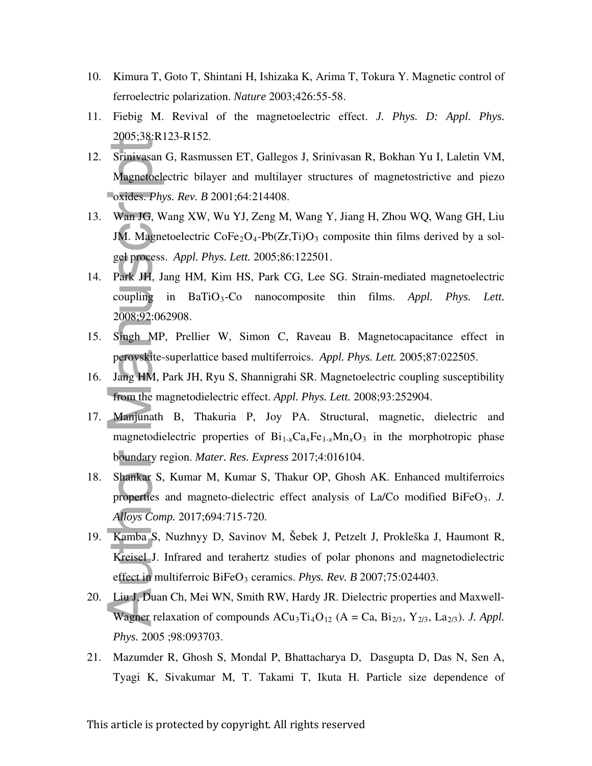- 10. Kimura T, Goto T, Shintani H, Ishizaka K, Arima T, Tokura Y. Magnetic control of ferroelectric polarization. *Nature* 2003;426:55-58.
- 11. Fiebig M. Revival of the magnetoelectric effect. *J. Phys. D: Appl. Phys.* 2005;38:R123-R152.
- 12. Srinivasan G, Rasmussen ET, Gallegos J, Srinivasan R, Bokhan Yu I, Laletin VM, Magnetoelectric bilayer and multilayer structures of magnetostrictive and piezo oxides. *Phys. Rev. B* 2001;64:214408.
- 13. Wan JG, Wang XW, Wu YJ, Zeng M, Wang Y, Jiang H, Zhou WQ, Wang GH, Liu JM. Magnetoelectric  $\text{CoFe}_2\text{O}_4\text{-}Pb(Zr,Ti)O_3$  composite thin films derived by a solgel process. *Appl. Phys. Lett.* 2005;86:122501.
- 14. Park JH, Jang HM, Kim HS, Park CG, Lee SG. Strain-mediated magnetoelectric coupling in BaTiO 3 -Co nanocomposite thin films. *Appl. Phys. Lett.* 2008;92:062908.
- 15. Singh MP, Prellier W, Simon C, Raveau B. Magnetocapacitance effect in perovskite-superlattice based multiferroics. *Appl. Phys. Lett.* 2005;87:022505.
- 16. Jang HM, Park JH, Ryu S, Shannigrahi SR. Magnetoelectric coupling susceptibility from the magnetodielectric effect. *Appl. Phys. Lett.* 2008;93:252904.
- 17. Manjunath B, Thakuria P, Joy PA. Structural, magnetic, dielectric and magnetodielectric properties of  $Bi_{1-x}Ca_xFe_{1-x}Mn_xO_3$  in the morphotropic phase boundary region. *Mater. Res. Express* 2017;4:016104.
- 18. Shankar S, Kumar M, Kumar S, Thakur OP, Ghosh AK. Enhanced multiferroics properties and magneto-dielectric effect analysis of La/Co modified BiFeO<sub>3</sub>. *J. Alloys Comp.* 2017;694:715-720.
- 19. Kamba S, Nuzhnyy D, Savinov M, Šebek J, Petzelt J, Prokleška J, Haumont R, Kreisel J. Infrared and terahertz studies of polar phonons and magnetodielectric effect in multiferroic BiFeO 3 ceramics. *Phys. Rev. B* 2007;75:024403. **Procession**<br> **Prinivasan (Magnetoele oxides. Phy.**<br>
Wan JG, W<br>
JM. Magnet<br>
gel process.<br>
Park JH, Ja<br>
coupling is<br>
2008;92:06?<br>
Singh MP,<br>
perovskite-s<br>
Jang HM, P<br>
from the ma<br>
Manjunath<br>
magnetodie<br>
boundary re<br>
Shankar
- 20. Liu J, Duan Ch, Mei WN, Smith RW, Hardy JR. Dielectric properties and Maxwell-Wagner relaxation of compounds  $ACu_3Ti_4O_{12}$  ( $A = Ca$ ,  $Bi_{2/3}$ ,  $Y_{2/3}$ ,  $La_{2/3}$ ). *J. Appl.* Phys. 2005 ;98:093703.
- 21. Mazumder R, Ghosh S, Mondal P, Bhattacharya D, Dasgupta D, Das N, Sen A, Tyagi K, Sivakumar M, T. Takami T, Ikuta H. Particle size dependence of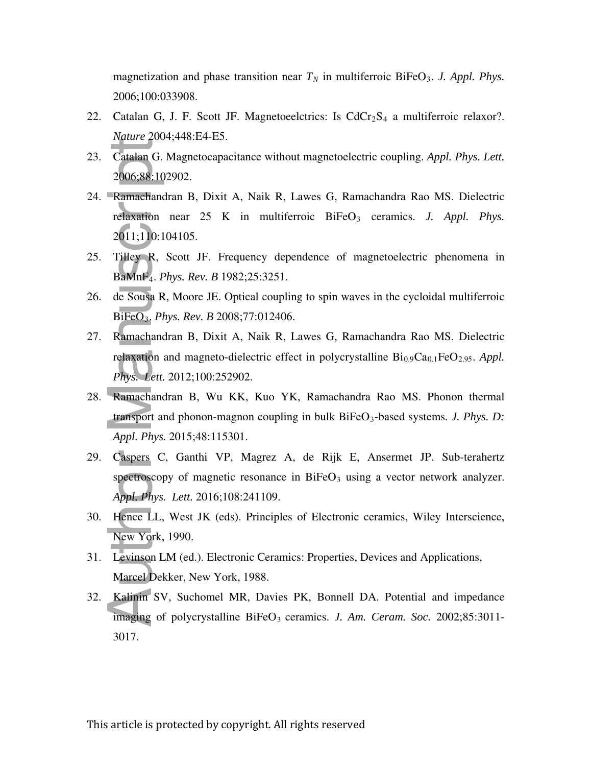magnetization and phase transition near  $T_N$  in multiferroic BiFeO<sub>3</sub>. J. Appl. Phys. 2006;100:033908.

- 22. Catalan G, J. F. Scott JF. Magnetoeelctrics: Is  $CdCr<sub>2</sub>S<sub>4</sub>$  a multiferroic relaxor?. *Nature* 2004;448:E4-E5.
- 23. Catalan G. Magnetocapacitance without magnetoelectric coupling. *Appl. Phys. Lett.* 2006;88:102902.
- 24. Ramachandran B, Dixit A, Naik R, Lawes G, Ramachandra Rao MS. Dielectric relaxation near 25 K in multiferroic BiFeO<sub>3</sub> ceramics. *J. Appl. Phys.* 2011;110:104105. Catalan G.<br>
2006;88:10<br>
Ramachano<br>
relaxation<br>
2011;110:1<br>
Tilley R,<br>
BaMnF<sub>4</sub>. *F*<br>
de Sousa R<br>
BiFeO<sub>3</sub>. *Pi*<br>
Ramachano<br>
relaxation<br> *Phys. Lett.*<br>
Ramachano<br>
relaxation<br> *Phys. Lett.*<br>
Ramachano<br>
transport as<br>
Appl. Ph
- 25. Tilley R, Scott JF. Frequency dependence of magnetoelectric phenomena in BaMnF 4 . *Phys. Rev. B* 1982;25:3251.
- 26. de Sousa R, Moore JE. Optical coupling to spin waves in the cycloidal multiferroic BiFeO 3 . *Phys. Rev. B* 2008;77:012406.
- 27. Ramachandran B, Dixit A, Naik R, Lawes G, Ramachandra Rao MS. Dielectric relaxation and magneto-dielectric effect in polycrystalline Bi<sub>0.9</sub>Ca<sub>0.1</sub>FeO<sub>2.95</sub>. Appl. *Phys. Lett.* 2012;100:252902.
- 28. Ramachandran B, Wu KK, Kuo YK, Ramachandra Rao MS. Phonon thermal transport and phonon-magnon coupling in bulk BiFeO 3 -based systems*. J. Phys. D: Appl. Phys.* 2015;48:115301.
- 29. Caspers C, Ganthi VP, Magrez A, de Rijk E, Ansermet JP. Sub-terahertz spectroscopy of magnetic resonance in  $BiFeO<sub>3</sub>$  using a vector network analyzer. *Appl. Phys. Lett.* 2016;108:241109.
- 30. Hence LL, West JK (eds). Principles of Electronic ceramics, Wiley Interscience, New York, 1990.
- 31. Levinson LM (ed.). Electronic Ceramics: Properties, Devices and Applications, Marcel Dekker, New York, 1988.
- 32. Kalinin SV, Suchomel MR, Davies PK, Bonnell DA. Potential and impedance imaging of polycrystalline BiFeO<sub>3</sub> ceramics. *J. Am. Ceram. Soc.* 2002;85:3011-3017.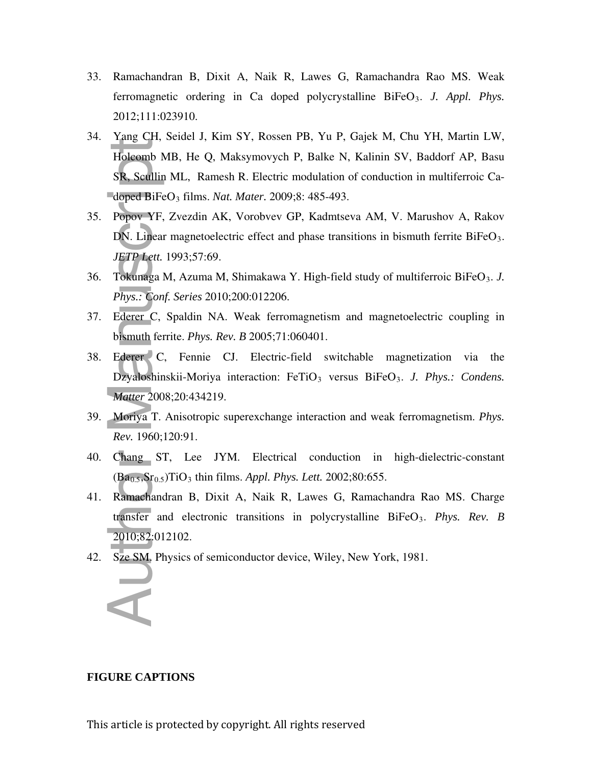- 33. Ramachandran B, Dixit A, Naik R, Lawes G, Ramachandra Rao MS. Weak ferromagnetic ordering in Ca doped polycrystalline BiFeO<sub>3</sub>. J. Appl. Phys. 2012;111:023910.
- 34. Yang CH, Seidel J, Kim SY, Rossen PB, Yu P, Gajek M, Chu YH, Martin LW, Holcomb MB, He Q, Maksymovych P, Balke N, Kalinin SV, Baddorf AP, Basu SR, Scullin ML, Ramesh R. Electric modulation of conduction in multiferroic Cadoped BiFeO<sub>3</sub> films. *Nat. Mater.* 2009;8: 485-493. **FIGURE CAPTIONS**<br> **FIGURE CAPTIONS**<br> **FIGURE CAPTIONS**<br> **FIGURE CAPTIONS**<br> **FIGURE CAPTIONS**<br> **FIGURE CAPTIONS**<br> **FIGURE CAPTIONS**<br> **FIGURE CAPTIONS**<br> **FIGURE CAPTIONS**
- 35. Popov YF, Zvezdin AK, Vorobvev GP, Kadmtseva AM, V. Marushov A, Rakov DN. Linear magnetoelectric effect and phase transitions in bismuth ferrite BiFeO<sub>3</sub>. *JETP Lett.* 1993;57:69.
- 36. Tokunaga M, Azuma M, Shimakawa Y. High-field study of multiferroic BiFeO 3 . *J. Phys.: Conf. Series* 2010;200:012206.
- 37. Ederer C, Spaldin NA. Weak ferromagnetism and magnetoelectric coupling in bismuth ferrite. *Phys. Rev. B* 2005;71:060401.
- 38. Ederer C, Fennie CJ. Electric-field switchable magnetization via the Dzyaloshinskii-Moriya interaction: FeTiO<sub>3</sub> versus BiFeO<sub>3</sub>. J. Phys.: Condens. *Matter* 2008;20:434219.
- 39. Moriya T. Anisotropic superexchange interaction and weak ferromagnetism. *Phys. Rev.* 1960;120:91.
- 40. Chang ST, Lee JYM. Electrical conduction in high-dielectric-constant (Ba0.5,Sr0.5)TiO<sup>3</sup> thin films. *Appl. Phys. Lett.* 2002;80:655.
- 41. Ramachandran B, Dixit A, Naik R, Lawes G, Ramachandra Rao MS. Charge transfer and electronic transitions in polycrystalline BiFeO 3 . *Phys. Rev. B* 2010;82:012102.
- 42. Sze SM. Physics of semiconductor device, Wiley, New York, 1981.



#### **FIGURE CAPTIONS**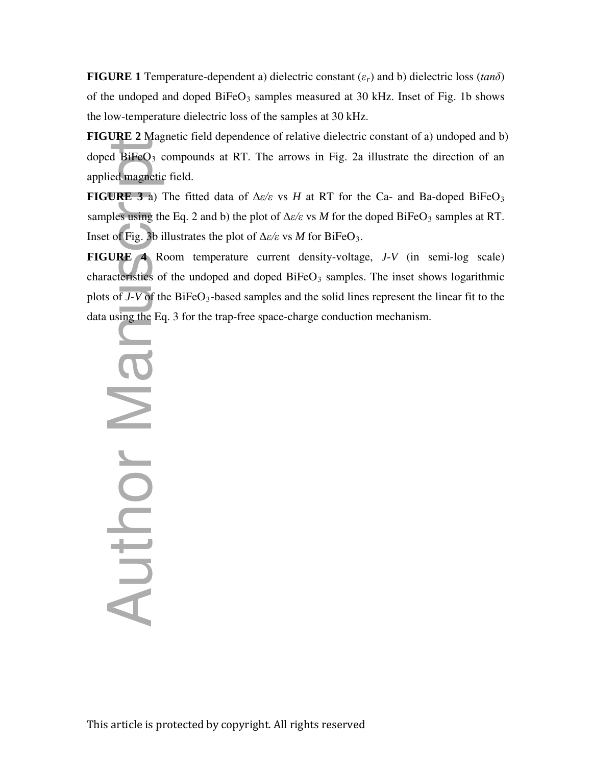**FIGURE 1** Temperature-dependent a) dielectric constant (*εr*) and b) dielectric loss (*tanδ*) of the undoped and doped BiFeO<sub>3</sub> samples measured at 30 kHz. Inset of Fig. 1b shows the low-temperature dielectric loss of the samples at 30 kHz.

**FIGURE 2** Magnetic field dependence of relative dielectric constant of a) undoped and b) doped BiFeO<sub>3</sub> compounds at RT. The arrows in Fig. 2a illustrate the direction of an applied magnetic field.

**FIGURE 3** a) The fitted data of  $\Delta \varepsilon / \varepsilon$  vs *H* at RT for the Ca- and Ba-doped BiFeO<sub>3</sub> samples using the Eq. 2 and b) the plot of  $\Delta \varepsilon / \varepsilon$  vs *M* for the doped BiFeO<sub>3</sub> samples at RT. Inset of Fig. 3b illustrates the plot of Δ*ε/ε* vs *M* for BiFeO<sup>3</sup> .

**FIGURE 4** Room temperature current density-voltage, *J*-*V* (in semi-log scale) characteristics of the undoped and doped BiFeO <sup>3</sup> samples. The inset shows logarithmic plots of  $\overline{J}$ - $\overline{V}$  of the BiFeO<sub>3</sub>-based samples and the solid lines represent the linear fit to the doped BiFeO<sub>3</sub> compounds at RT. The arrows in Fig. 2a illustrate the capplied magnetic field.<br> **FIGURE 3** a) The fitted data of  $\Delta x/x$  vs *H* at RT for the Ca- and Ba-samples using the Eq. 2 and b) the plot of  $\Delta z/x$  vs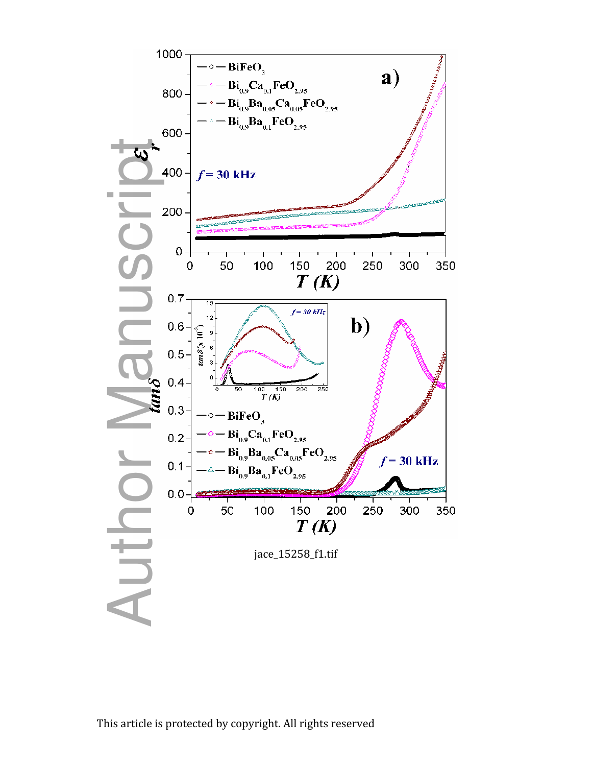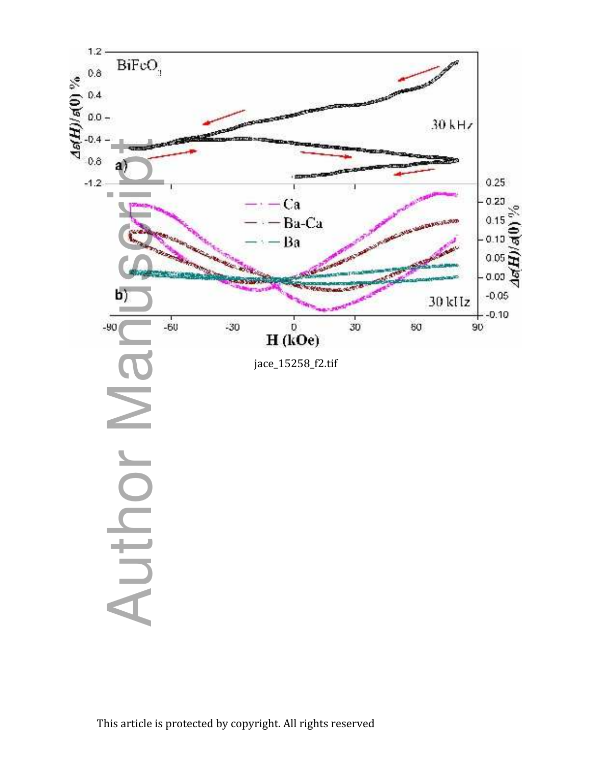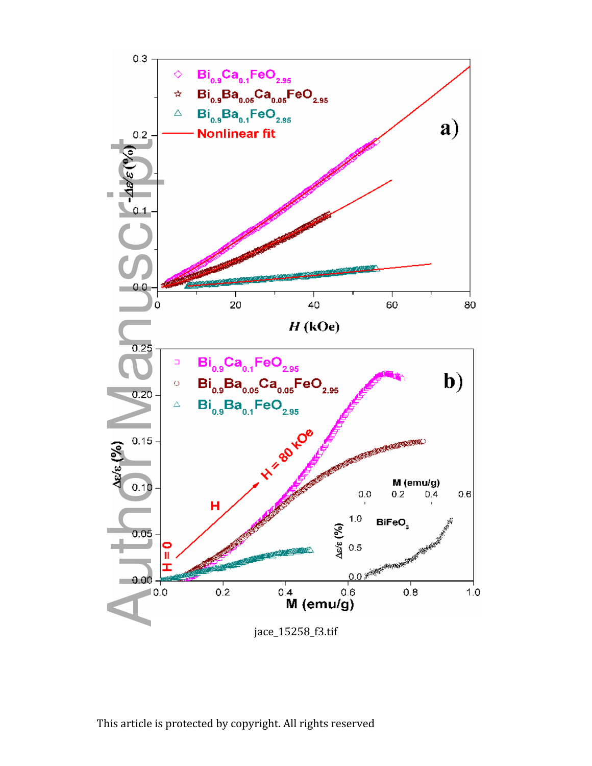